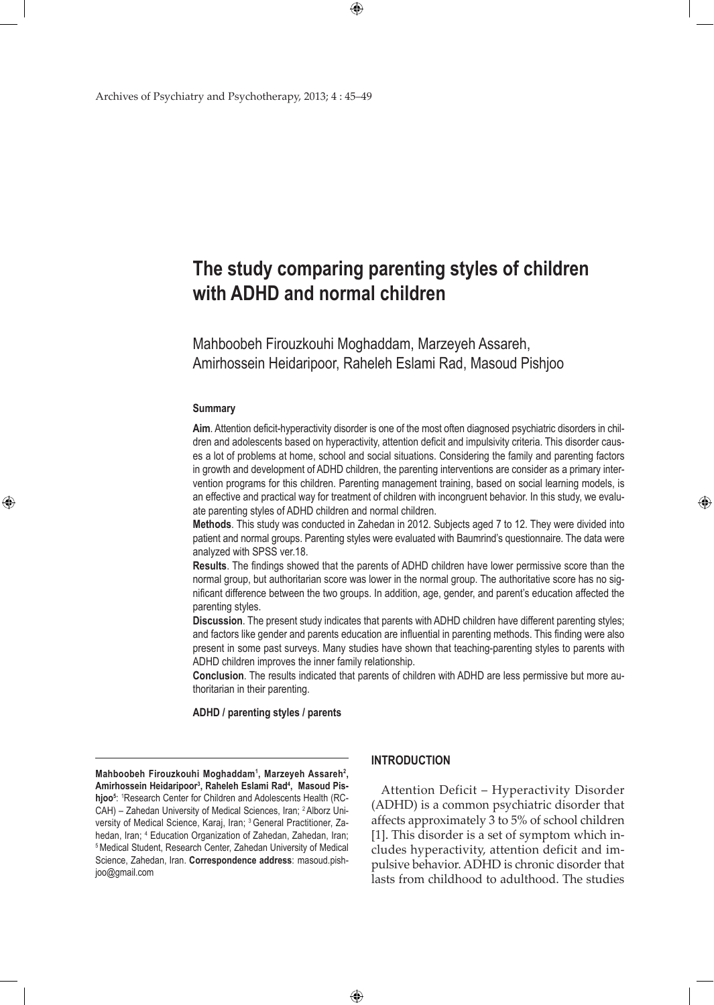# **The study comparing parenting styles of children with ADHD and normal children**

 $\bigoplus$ 

Mahboobeh Firouzkouhi Moghaddam, Marzeyeh Assareh, Amirhossein Heidaripoor, Raheleh Eslami Rad, Masoud Pishjoo

#### **Summary**

⊕

**Aim**. Attention deficit-hyperactivity disorder is one of the most often diagnosed psychiatric disorders in children and adolescents based on hyperactivity, attention deficit and impulsivity criteria. This disorder causes a lot of problems at home, school and social situations. Considering the family and parenting factors in growth and development of ADHD children, the parenting interventions are consider as a primary intervention programs for this children. Parenting management training, based on social learning models, is an effective and practical way for treatment of children with incongruent behavior. In this study, we evaluate parenting styles of ADHD children and normal children.

**Methods**. This study was conducted in Zahedan in 2012. Subjects aged 7 to 12. They were divided into patient and normal groups. Parenting styles were evaluated with Baumrind's questionnaire. The data were analyzed with SPSS ver.18.

**Results**. The findings showed that the parents of ADHD children have lower permissive score than the normal group, but authoritarian score was lower in the normal group. The authoritative score has no significant difference between the two groups. In addition, age, gender, and parent's education affected the parenting styles.

**Discussion**. The present study indicates that parents with ADHD children have different parenting styles; and factors like gender and parents education are influential in parenting methods. This finding were also present in some past surveys. Many studies have shown that teaching-parenting styles to parents with ADHD children improves the inner family relationship.

**Conclusion**. The results indicated that parents of children with ADHD are less permissive but more authoritarian in their parenting.

**ADHD / parenting styles / parents**

**Mahboobeh Firouzkouhi Moghaddam1 , Marzeyeh Assareh2 , Amirhossein Heidaripoor3 , Raheleh Eslami Rad4 , Masoud Pis**hjoo<sup>5</sup>: <sup>1</sup>Research Center for Children and Adolescents Health (RC-CAH) – Zahedan University of Medical Sciences, Iran; <sup>2</sup>Alborz University of Medical Science, Karaj, Iran; <sup>3</sup> General Practitioner, Zahedan, Iran; <sup>4</sup> Education Organization of Zahedan, Zahedan, Iran; <sup>5</sup> Medical Student, Research Center, Zahedan University of Medical Science, Zahedan, Iran. **Correspondence address**: masoud.pishjoo@gmail.com

### **Introduction**

 $\bigoplus$ 

Attention Deficit – Hyperactivity Disorder (ADHD) is a common psychiatric disorder that affects approximately 3 to 5% of school children [1]. This disorder is a set of symptom which includes hyperactivity, attention deficit and impulsive behavior. ADHD is chronic disorder that lasts from childhood to adulthood. The studies ⊕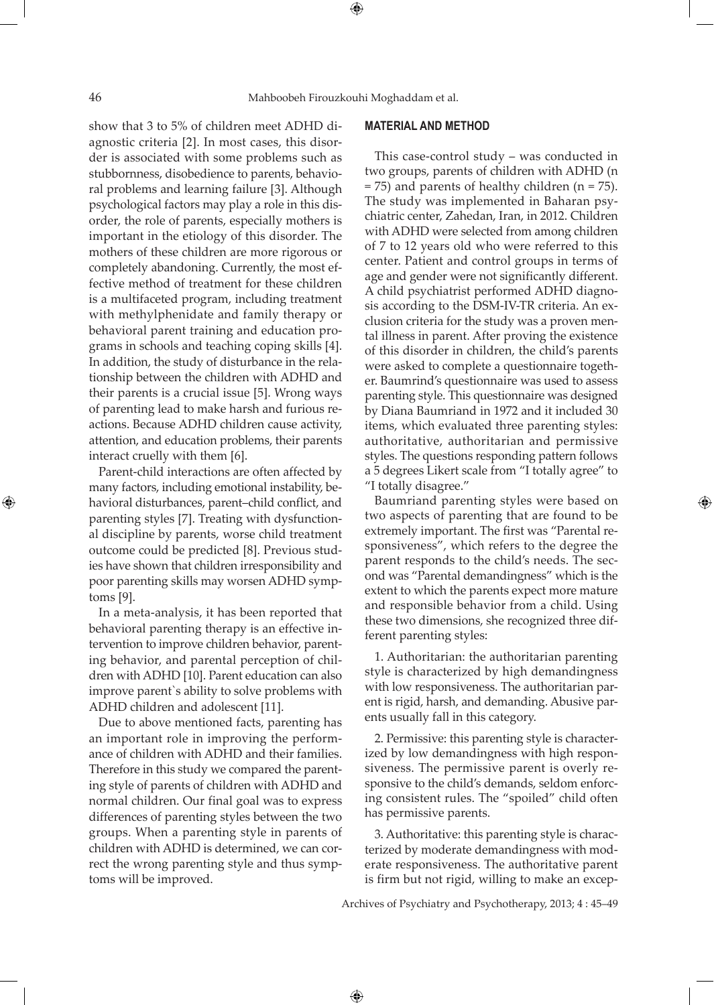show that 3 to 5% of children meet ADHD diagnostic criteria [2]. In most cases, this disorder is associated with some problems such as stubbornness, disobedience to parents, behavioral problems and learning failure [3]. Although psychological factors may play a role in this disorder, the role of parents, especially mothers is important in the etiology of this disorder. The mothers of these children are more rigorous or completely abandoning. Currently, the most effective method of treatment for these children is a multifaceted program, including treatment with methylphenidate and family therapy or behavioral parent training and education programs in schools and teaching coping skills [4]. In addition, the study of disturbance in the relationship between the children with ADHD and their parents is a crucial issue [5]. Wrong ways of parenting lead to make harsh and furious reactions. Because ADHD children cause activity, attention, and education problems, their parents interact cruelly with them [6].

Parent-child interactions are often affected by many factors, including emotional instability, behavioral disturbances, parent–child conflict, and parenting styles [7]. Treating with dysfunctional discipline by parents, worse child treatment outcome could be predicted [8]. Previous studies have shown that children irresponsibility and poor parenting skills may worsen ADHD symptoms [9].

In a meta-analysis, it has been reported that behavioral parenting therapy is an effective intervention to improve children behavior, parenting behavior, and parental perception of children with ADHD [10]. Parent education can also improve parent`s ability to solve problems with ADHD children and adolescent [11].

Due to above mentioned facts, parenting has an important role in improving the performance of children with ADHD and their families. Therefore in this study we compared the parenting style of parents of children with ADHD and normal children. Our final goal was to express differences of parenting styles between the two groups. When a parenting style in parents of children with ADHD is determined, we can correct the wrong parenting style and thus symptoms will be improved.

## **Material and Method**

This case-control study – was conducted in two groups, parents of children with ADHD (n = 75) and parents of healthy children (n = 75). The study was implemented in Baharan psychiatric center, Zahedan, Iran, in 2012. Children with ADHD were selected from among children of 7 to 12 years old who were referred to this center. Patient and control groups in terms of age and gender were not significantly different. A child psychiatrist performed ADHD diagnosis according to the DSM-IV-TR criteria. An exclusion criteria for the study was a proven mental illness in parent. After proving the existence of this disorder in children, the child's parents were asked to complete a questionnaire together. Baumrind's questionnaire was used to assess parenting style. This questionnaire was designed by Diana Baumriand in 1972 and it included 30 items, which evaluated three parenting styles: authoritative, authoritarian and permissive styles. The questions responding pattern follows a 5 degrees Likert scale from "I totally agree" to "I totally disagree."

Baumriand parenting styles were based on two aspects of parenting that are found to be extremely important. The first was "Parental responsiveness", which refers to the degree the parent responds to the child's needs. The second was "Parental demandingness" which is the extent to which the parents expect more mature and responsible behavior from a child. Using these two dimensions, she recognized three different parenting styles:

1. Authoritarian: the authoritarian parenting style is characterized by high demandingness with low responsiveness. The authoritarian parent is rigid, harsh, and demanding. Abusive parents usually fall in this category.

2. Permissive: this parenting style is characterized by low demandingness with high responsiveness. The permissive parent is overly responsive to the child's demands, seldom enforcing consistent rules. The "spoiled" child often has permissive parents.

3. Authoritative: this parenting style is characterized by moderate demandingness with moderate responsiveness. The authoritative parent is firm but not rigid, willing to make an excep-

Archives of Psychiatry and Psychotherapy, 2013; 4 : 45–49

 $\bigoplus$ 

⊕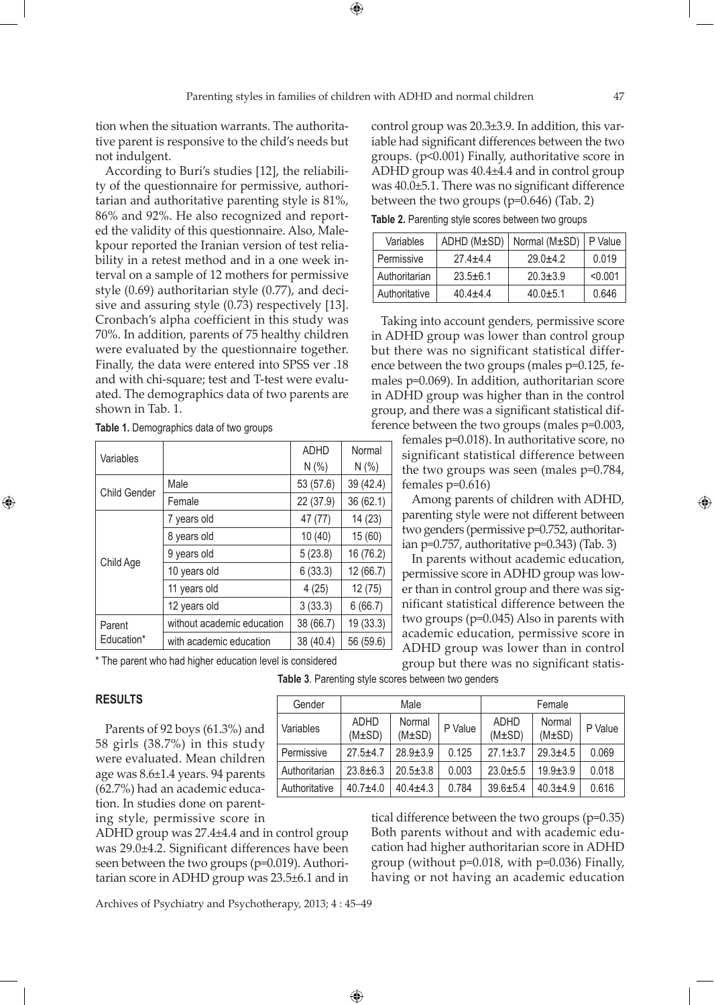$\bigoplus$ 

tion when the situation warrants. The authoritative parent is responsive to the child's needs but not indulgent.

According to Buri's studies [12], the reliability of the questionnaire for permissive, authoritarian and authoritative parenting style is 81%, 86% and 92%. He also recognized and reported the validity of this questionnaire. Also, Malekpour reported the Iranian version of test reliability in a retest method and in a one week interval on a sample of 12 mothers for permissive style (0.69) authoritarian style (0.77), and decisive and assuring style (0.73) respectively [13]. Cronbach's alpha coefficient in this study was 70%. In addition, parents of 75 healthy children were evaluated by the questionnaire together. Finally, the data were entered into SPSS ver .18 and with chi-square; test and T-test were evaluated. The demographics data of two parents are shown in Tab. 1.

| Variables            |                            | <b>ADHD</b> | Normal    |
|----------------------|----------------------------|-------------|-----------|
|                      |                            | N(% )       | N(% )     |
| <b>Child Gender</b>  | Male                       | 53 (57.6)   | 39 (42.4) |
|                      | Female                     | 22 (37.9)   | 36 (62.1) |
| Child Age            | 7 years old                | 47 (77)     | 14 (23)   |
|                      | 8 years old                | 10(40)      | 15(60)    |
|                      | 9 years old                | 5(23.8)     | 16 (76.2) |
|                      | 10 years old               | 6(33.3)     | 12(66.7)  |
|                      | 11 years old               | 4(25)       | 12(75)    |
|                      | 12 years old               | 3(33.3)     | 6(66.7)   |
| Parent<br>Education* | without academic education | 38 (66.7)   | 19 (33.3) |
|                      | with academic education    | 38 (40.4)   | 56 (59.6) |

**Table 1.** Demographics data of two groups

\* The parent who had higher education level is considered

(M±SD)

 $\bigoplus$ 

Variables **ADHD** 

## **Results**

⊕

Parents of 92 boys (61.3%) and 58 girls (38.7%) in this study were evaluated. Mean children age was 8.6±1.4 years. 94 parents (62.7%) had an academic education. In studies done on parenting style, permissive score in

ADHD group was 27.4±4.4 and in control group was 29.0±4.2. Significant differences have been seen between the two groups (p=0.019). Authoritarian score in ADHD group was 23.5±6.1 and in

tical difference between the two groups (p=0.35) Both parents without and with academic edu-

cation had higher authoritarian score in ADHD group (without p=0.018, with p=0.036) Finally, having or not having an academic education

Archives of Psychiatry and Psychotherapy, 2013; 4 : 45–49

control group was 20.3±3.9. In addition, this variable had significant differences between the two groups. (p<0.001) Finally, authoritative score in ADHD group was 40.4±4.4 and in control group was 40.0±5.1. There was no significant difference between the two groups (p=0.646) (Tab. 2)

**Table 2.** Parenting style scores between two groups

| Variables     | ADHD (M±SD)  | Normal (M±SD) | P Value |
|---------------|--------------|---------------|---------|
| Permissive    | $27.4 + 4.4$ | $29.0 + 4.2$  | 0.019   |
| Authoritarian | $23.5 + 6.1$ | $20.3 + 3.9$  | < 0.001 |
| Authoritative | $40.4 + 4.4$ | $40.0 + 5.1$  | 0.646   |

Taking into account genders, permissive score in ADHD group was lower than control group but there was no significant statistical difference between the two groups (males p=0.125, females p=0.069). In addition, authoritarian score in ADHD group was higher than in the control group, and there was a significant statistical difference between the two groups (males p=0.003,

> females p=0.018). In authoritative score, no significant statistical difference between the two groups was seen (males p=0.784, females p=0.616)

> Among parents of children with ADHD, parenting style were not different between two genders (permissive p=0.752, authoritarian p=0.757, authoritative p=0.343) (Tab. 3)

> In parents without academic education, permissive score in ADHD group was lower than in control group and there was significant statistical difference between the two groups (p=0.045) Also in parents with academic education, permissive score in ADHD group was lower than in control group but there was no significant statis-

> > (M±SD)

Normal

 $(M±SD)$  P Value

**Table 3**. Parenting style scores between two genders

Gender | Male | Female

Normal  $P$  Value ADHD<br>(M±SD) P Value (M±SD)

Permissive | 27.5±4.7 | 28.9±3.9 | 0.125 | 27.1±3.7 | 29.3±4.5 | 0.069 Authoritarian 23.8±6.3 20.5±3.8 0.003 23.0±5.5 19.9±3.9 0.018 Authoritative  $|40.7\pm4.0|40.4\pm4.3|0.784|39.6\pm5.4|40.3\pm4.9|0.616$ 

Normal

⊕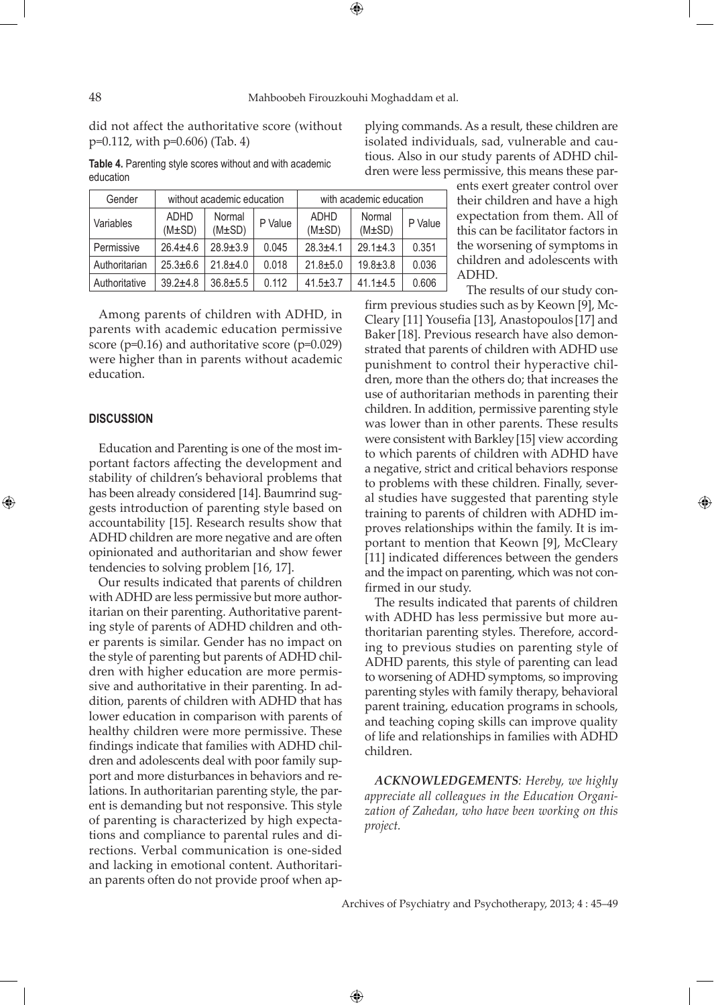⊕

did not affect the authoritative score (without p=0.112, with p=0.606) (Tab. 4)

**Table 4.** Parenting style scores without and with academic

plying commands. As a result, these children are isolated individuals, sad, vulnerable and cautious. Also in our study parents of ADHD children were less permissive, this means these par-

| Gender        | without academic education |                       |         | with academic education    |                       |         |  |
|---------------|----------------------------|-----------------------|---------|----------------------------|-----------------------|---------|--|
| Variables     | <b>ADHD</b><br>$(M\pm SD)$ | Normal<br>$(M\pm SD)$ | P Value | <b>ADHD</b><br>$(M\pm SD)$ | Normal<br>$(M\pm SD)$ | P Value |  |
| Permissive    | $26.4 \pm 4.6$             | $28.9 + 3.9$          | 0.045   | $28.3 + 4.1$               | $29.1 + 4.3$          | 0.351   |  |
| Authoritarian | $25.3 \pm 6.6$             | $21.8 + 4.0$          | 0.018   | $21.8 + 5.0$               | $19.8 \pm 3.8$        | 0.036   |  |
| Authoritative | $39.2 + 4.8$               | $36.8 + 5.5$          | 0.112   | $41.5 \pm 3.7$             | $41.1 + 4.5$          | 0.606   |  |

Among parents of children with ADHD, in parents with academic education permissive score (p=0.16) and authoritative score (p=0.029) were higher than in parents without academic education.

### **Discussion**

⊕

Education and Parenting is one of the most important factors affecting the development and stability of children's behavioral problems that has been already considered [14]. Baumrind suggests introduction of parenting style based on accountability [15]. Research results show that ADHD children are more negative and are often opinionated and authoritarian and show fewer tendencies to solving problem [16, 17].

Our results indicated that parents of children with ADHD are less permissive but more authoritarian on their parenting. Authoritative parenting style of parents of ADHD children and other parents is similar. Gender has no impact on the style of parenting but parents of ADHD children with higher education are more permissive and authoritative in their parenting. In addition, parents of children with ADHD that has lower education in comparison with parents of healthy children were more permissive. These findings indicate that families with ADHD children and adolescents deal with poor family support and more disturbances in behaviors and relations. In authoritarian parenting style, the parent is demanding but not responsive. This style of parenting is characterized by high expectations and compliance to parental rules and directions. Verbal communication is one-sided and lacking in emotional content. Authoritarian parents often do not provide proof when apents exert greater control over their children and have a high expectation from them. All of this can be facilitator factors in the worsening of symptoms in children and adolescents with ADHD.

The results of our study con-

firm previous studies such as by Keown [9], Mc-Cleary [11] Yousefia [13], Anastopoulos [17] and Baker[18]. Previous research have also demonstrated that parents of children with ADHD use punishment to control their hyperactive children, more than the others do; that increases the use of authoritarian methods in parenting their children. In addition, permissive parenting style was lower than in other parents. These results were consistent with Barkley[15] view according to which parents of children with ADHD have a negative, strict and critical behaviors response to problems with these children. Finally, several studies have suggested that parenting style training to parents of children with ADHD improves relationships within the family. It is important to mention that Keown [9], McCleary [11] indicated differences between the genders and the impact on parenting, which was not confirmed in our study.

The results indicated that parents of children with ADHD has less permissive but more authoritarian parenting styles. Therefore, according to previous studies on parenting style of ADHD parents, this style of parenting can lead to worsening of ADHD symptoms, so improving parenting styles with family therapy, behavioral parent training, education programs in schools, and teaching coping skills can improve quality of life and relationships in families with ADHD children.

*Acknowledgements: Hereby, we highly appreciate all colleagues in the Education Organization of Zahedan, who have been working on this project.*

Archives of Psychiatry and Psychotherapy, 2013; 4 : 45–49

 $\bigoplus$ 

education